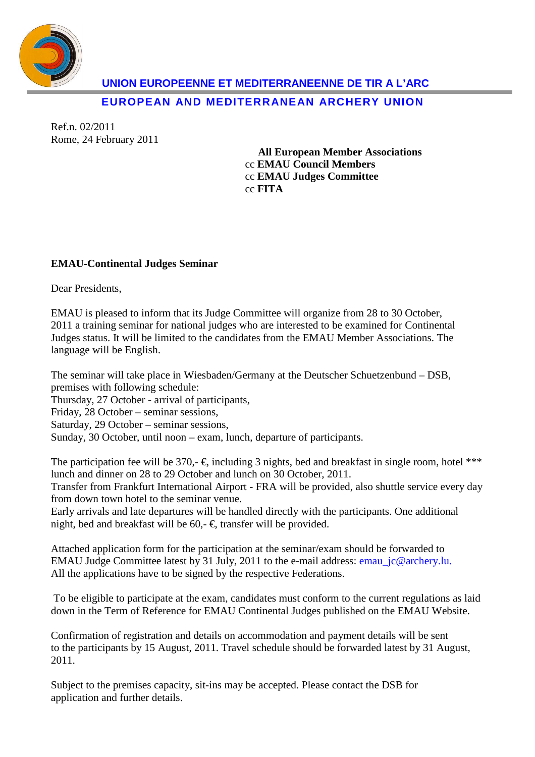

**UNION EUROPEENNE ET MEDITERRANEENNE DE TIR A L'ARC** 

**EUROPEAN AND MEDITERRANEAN ARCHERY UNION**

Ref.n. 02/2011 Rome, 24 February 2011

> **All European Member Associations**  cc **EMAU Council Members**  cc **EMAU Judges Committee**  cc **FITA**

## **EMAU-Continental Judges Seminar**

Dear Presidents,

EMAU is pleased to inform that its Judge Committee will organize from 28 to 30 October, 2011 a training seminar for national judges who are interested to be examined for Continental Judges status. It will be limited to the candidates from the EMAU Member Associations. The language will be English.

The seminar will take place in Wiesbaden/Germany at the Deutscher Schuetzenbund – DSB, premises with following schedule:

Thursday, 27 October - arrival of participants,

Friday, 28 October – seminar sessions,

Saturday, 29 October – seminar sessions,

Sunday, 30 October, until noon – exam, lunch, departure of participants.

The participation fee will be 370,-  $\epsilon$ , including 3 nights, bed and breakfast in single room, hotel \*\*\* lunch and dinner on 28 to 29 October and lunch on 30 October, 2011.

Transfer from Frankfurt International Airport - FRA will be provided, also shuttle service every day from down town hotel to the seminar venue.

Early arrivals and late departures will be handled directly with the participants. One additional night, bed and breakfast will be 60,-  $\epsilon$ , transfer will be provided.

Attached application form for the participation at the seminar/exam should be forwarded to EMAU Judge Committee latest by 31 July, 2011 to the e-mail address: emau\_jc@archery.lu. All the applications have to be signed by the respective Federations.

 To be eligible to participate at the exam, candidates must conform to the current regulations as laid down in the Term of Reference for EMAU Continental Judges published on the EMAU Website.

Confirmation of registration and details on accommodation and payment details will be sent to the participants by 15 August, 2011. Travel schedule should be forwarded latest by 31 August, 2011.

Subject to the premises capacity, sit-ins may be accepted. Please contact the DSB for application and further details.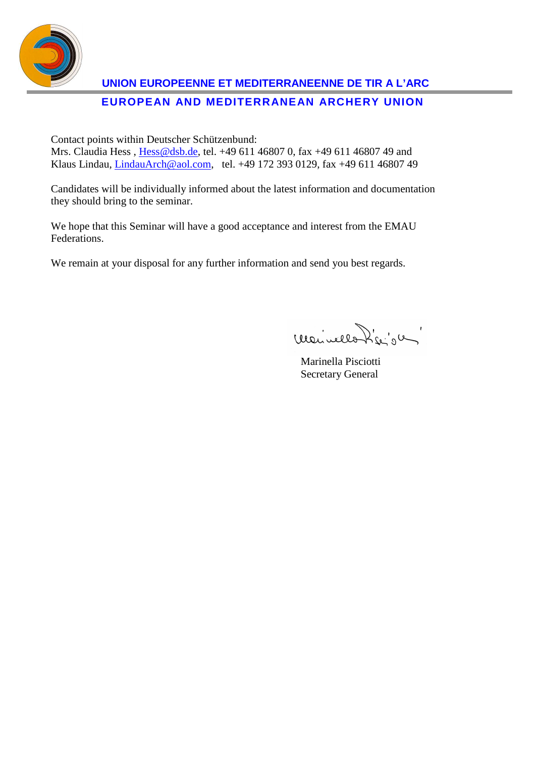

## **UNION EUROPEENNE ET MEDITERRANEENNE DE TIR A L'ARC EUROPEAN AND MEDITERRANEAN ARCHERY UNION**

Contact points within Deutscher Schützenbund:

Mrs. Claudia Hess, Hess@dsb.de, tel. +49 611 46807 0, fax +49 611 46807 49 and Klaus Lindau, LindauArch@aol.com, tel. +49 172 393 0129, fax +49 611 46807 49

Candidates will be individually informed about the latest information and documentation they should bring to the seminar.

We hope that this Seminar will have a good acceptance and interest from the EMAU Federations.

We remain at your disposal for any further information and send you best regards.

meuvello hie's un

 Marinella Pisciotti Secretary General